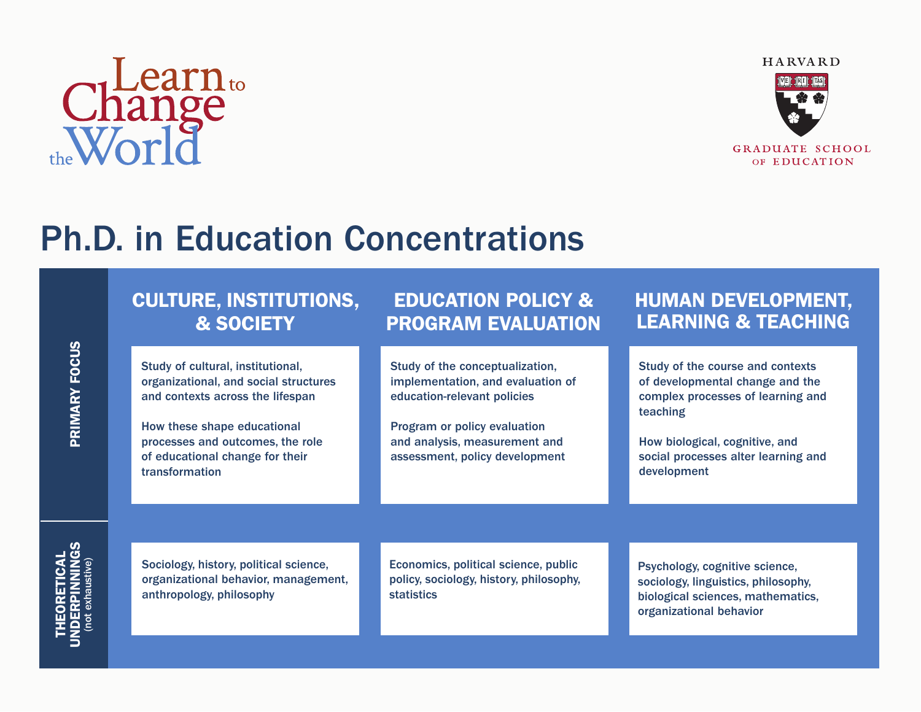# Change<br>World



**GRADUATE SCHOOL** OF EDUCATION

## Ph.D. in Education Concentrations

#### CULTURE, INSTITUTIONS, & SOCIETY

Study of cultural, institutional, organizational, and social structures and contexts across the lifespan

How these shape educational processes and outcomes, the role of educational change for their transformation

#### EDUCATION POLICY & PROGRAM EVALUATION

Study of the conceptualization, implementation, and evaluation of education-relevant policies

Program or policy evaluation and analysis, measurement and assessment, policy development

#### HUMAN DEVELOPMENT, LEARNING & TEACHING

Study of the course and contexts of developmental change and the complex processes of learning and teaching

How biological, cognitive, and social processes alter learning and development

**THEORETICAL<br>NDERPINNINGS<br>(not exhaustive)** 

Sociology, history, political science, organizational behavior, management, anthropology, philosophy

Economics, political science, public policy, sociology, history, philosophy, statistics

Psychology, cognitive science, sociology, linguistics, philosophy, biological sciences, mathematics, organizational behavior